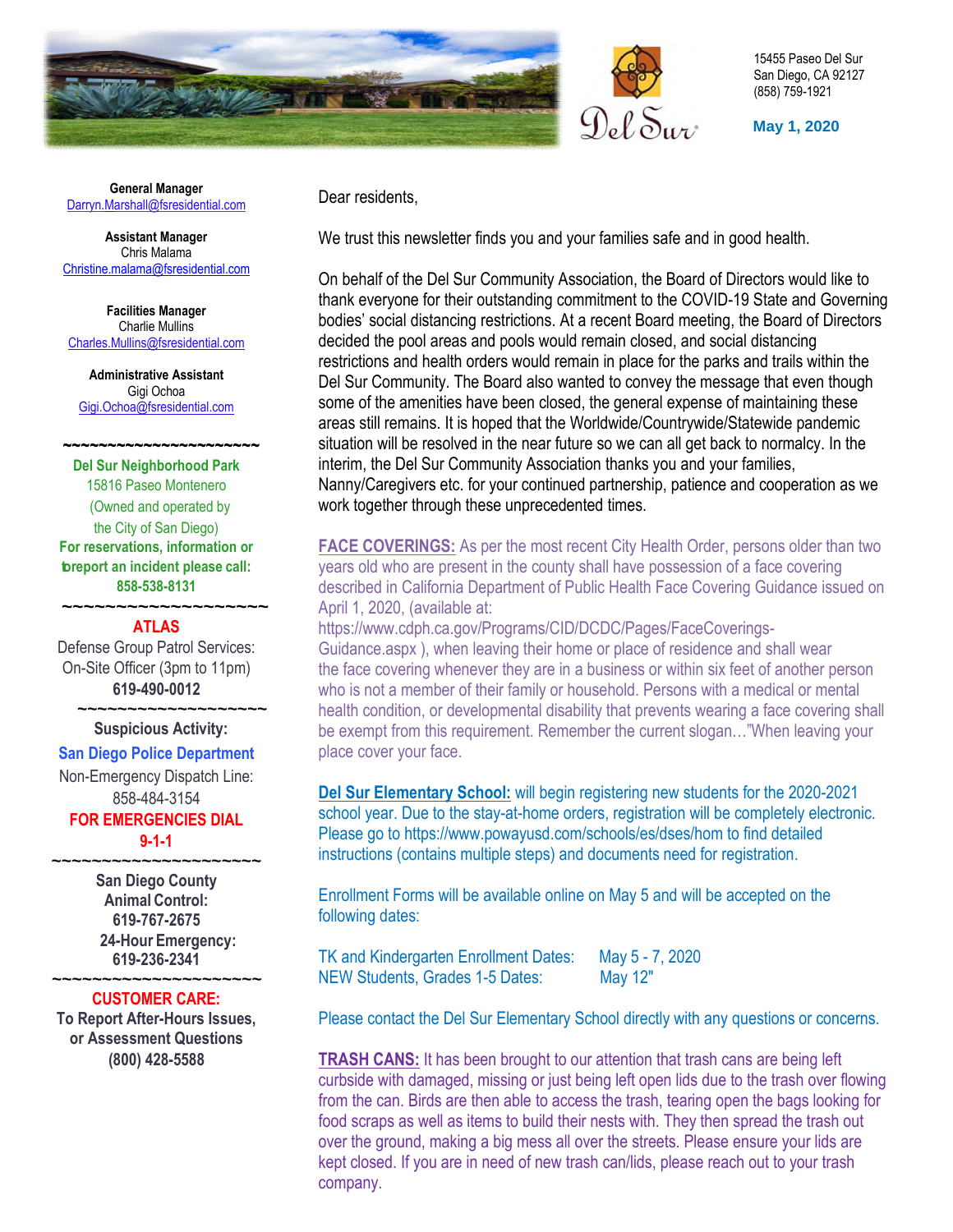



15455 Paseo Del Sur San Diego, CA 92127 (858) 759-1921

**May 1, 2020** 

**General Manager** Darry[n.Ma](mailto:Darryn.Marshall@fsresidential.com)rshall@fsresidential.com

**Assistant Manager**  Chris Malama [Christine.malama@fsresidential.com](mailto:Christine.malama@fsresidential.com)

**Facilities Manager**  Charlie Mullins [Charles.Mullins@fsresidential.com](mailto:Charles.Mullins@fsresidential.com) 

**Administrative Assistant**  Gigi Ochoa [Gigi.Ochoa@fsresidential.com](mailto:Gigi.Ochoa@fsresidential.com)

 **~~~~~~~~~~~~~~~~~~~~~~ Del Sur Neighborhood Park**

15816 Paseo Montenero (Owned and operated by the City of San Diego) **For reservations, information or to report an incident please call: 858-538-8131**

**ATLAS**

 **~~~~~~~~~~~~~~~~~~~** 

Defense Group Patrol Services: On-Site Officer (3pm to 11pm) **619-490-0012**

#### **Suspicious Activity:**

#### **San Diego Police Department**

 **~~~~~~~~~~~~~~~~~~~** 

Non-Emergency Dispatch Line: 858-484-3154

### **FOR EMERGENCIES DIAL 9-1-1**

**~~~~~~~~~~~~~~~~~~~~~** 

**San Diego County Animal Control: 619-767-2675 24-Hour Emergency: 619-236-2341** 

### **~~~~~~~~~~~~~~~~~~~~~ CUSTOMER CARE:**

**To Report After-Hours Issues, or Assessment Questions (800) 428-5588**

Dear residents,

We trust this newsletter finds you and your families safe and in good health.

On behalf of the Del Sur Community Association, the Board of Directors would like to thank everyone for their outstanding commitment to the COVID-19 State and Governing bodies' social distancing restrictions. At a recent Board meeting, the Board of Directors decided the pool areas and pools would remain closed, and social distancing restrictions and health orders would remain in place for the parks and trails within the Del Sur Community. The Board also wanted to convey the message that even though some of the amenities have been closed, the general expense of maintaining these areas still remains. It is hoped that the Worldwide/Countrywide/Statewide pandemic situation will be resolved in the near future so we can all get back to normalcy. In the interim, the Del Sur Community Association thanks you and your families, Nanny/Caregivers etc. for your continued partnership, patience and cooperation as we work together through these unprecedented times.

**FACE COVERINGS:** As per the most recent City Health Order, persons older than two years old who are present in the county shall have possession of a face covering described in California Department of Public Health Face Covering Guidance issued on April 1, 2020, (available at:

https://www.cdph.ca.gov/Programs/CID/DCDC/Pages/FaceCoverings-Guidance.aspx ), when leaving their home or place of residence and shall wear the face covering whenever they are in a business or within six feet of another person who is not a member of their family or household. Persons with a medical or mental health condition, or developmental disability that prevents wearing a face covering shall be exempt from this requirement. Remember the current slogan…"When leaving your place cover your face.

**Del Sur Elementary School:** will begin registering new students for the 2020-2021 school year. Due to the stay-at-home orders, registration will be completely electronic. Please go to https://www.powayusd.com/schools/es/dses/hom to find detailed instructions (contains multiple steps) and documents need for registration.

Enrollment Forms will be available online on May 5 and will be accepted on the following dates:

TK and Kindergarten Enrollment Dates: May 5 - 7, 2020 NEW Students, Grades 1-5 Dates: May 12"

Please contact the Del Sur Elementary School directly with any questions or concerns.

**TRASH CANS:** It has been brought to our attention that trash cans are being left curbside with damaged, missing or just being left open lids due to the trash over flowing from the can. Birds are then able to access the trash, tearing open the bags looking for food scraps as well as items to build their nests with. They then spread the trash out over the ground, making a big mess all over the streets. Please ensure your lids are kept closed. If you are in need of new trash can/lids, please reach out to your trash company.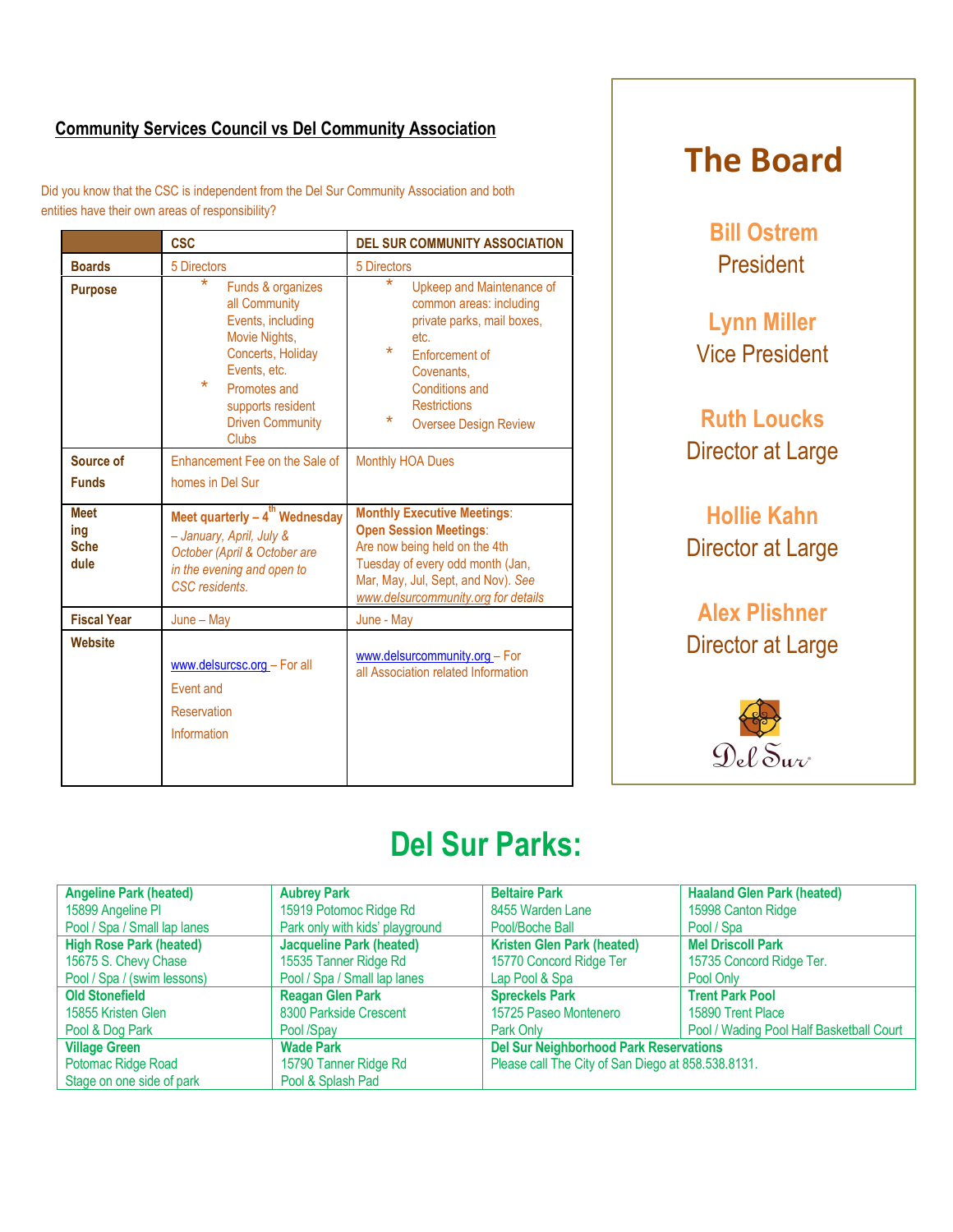## **Community Services Council vs Del Community Association**

Did you know that the CSC is independent from the Del Sur Community Association and both entities have their own areas of responsibility?

|                                           | <b>CSC</b>                                                                                                                                                                                                         | <b>DEL SUR COMMUNITY ASSOCIATION</b>                                                                                                                                                                                                        |  |  |
|-------------------------------------------|--------------------------------------------------------------------------------------------------------------------------------------------------------------------------------------------------------------------|---------------------------------------------------------------------------------------------------------------------------------------------------------------------------------------------------------------------------------------------|--|--|
| <b>Boards</b>                             | 5 Directors                                                                                                                                                                                                        | 5 Directors                                                                                                                                                                                                                                 |  |  |
| <b>Purpose</b>                            | $\ast$<br>Funds & organizes<br>all Community<br>Events, including<br>Movie Nights,<br>Concerts, Holiday<br>Events, etc.<br>$\star$<br>Promotes and<br>supports resident<br><b>Driven Community</b><br><b>Clubs</b> | $\star$<br>Upkeep and Maintenance of<br>common areas: including<br>private parks, mail boxes,<br>etc.<br>$\star$<br><b>Enforcement of</b><br>Covenants.<br>Conditions and<br><b>Restrictions</b><br>$\star$<br><b>Oversee Design Review</b> |  |  |
| Source of                                 | Enhancement Fee on the Sale of                                                                                                                                                                                     | <b>Monthly HOA Dues</b>                                                                                                                                                                                                                     |  |  |
| <b>Funds</b>                              | homes in Del Sur                                                                                                                                                                                                   |                                                                                                                                                                                                                                             |  |  |
| <b>Meet</b><br>ing<br><b>Sche</b><br>dule | Meet quarterly $-4^{th}$ Wednesday<br>- January, April, July &<br>October (April & October are<br>in the evening and open to<br>CSC residents.                                                                     | <b>Monthly Executive Meetings:</b><br><b>Open Session Meetings:</b><br>Are now being held on the 4th<br>Tuesday of every odd month (Jan,<br>Mar, May, Jul, Sept, and Nov). See<br>www.delsurcommunity.org for details                       |  |  |
| <b>Fiscal Year</b>                        | $June - May$                                                                                                                                                                                                       | June - May                                                                                                                                                                                                                                  |  |  |
| <b>Website</b>                            | www.delsurcsc.org - For all<br>Fvent and<br>Reservation<br>Information                                                                                                                                             | www.delsurcommunity.org - For<br>all Association related Information                                                                                                                                                                        |  |  |

# **The Board**

**Bill Ostrem** President

**Lynn Miller** Vice President

**Ruth Loucks**  Director at Large

**Hollie Kahn**  Director at Large

## **Alex Plishner**  Director at Large



# **Del Sur Parks:**

| <b>Angeline Park (heated)</b>  | <b>Aubrey Park</b>              | <b>Beltaire Park</b>                               | <b>Haaland Glen Park (heated)</b>        |
|--------------------------------|---------------------------------|----------------------------------------------------|------------------------------------------|
| 15899 Angeline PI              | 15919 Potomoc Ridge Rd          | 8455 Warden Lane                                   | 15998 Canton Ridge                       |
| Pool / Spa / Small lap lanes   | Park only with kids' playground | Pool/Boche Ball                                    | Pool / Spa                               |
| <b>High Rose Park (heated)</b> | <b>Jacqueline Park (heated)</b> | <b>Kristen Glen Park (heated)</b>                  | <b>Mel Driscoll Park</b>                 |
| 15675 S. Chevy Chase           | 15535 Tanner Ridge Rd           | 15770 Concord Ridge Ter                            | 15735 Concord Ridge Ter.                 |
| Pool / Spa / (swim lessons)    | Pool / Spa / Small lap lanes    | Lap Pool & Spa                                     | Pool Only                                |
| <b>Old Stonefield</b>          | <b>Reagan Glen Park</b>         | <b>Spreckels Park</b>                              | <b>Trent Park Pool</b>                   |
| 15855 Kristen Glen             | 8300 Parkside Crescent          | 15725 Paseo Montenero                              | 15890 Trent Place                        |
| Pool & Dog Park                | Pool /Spay                      | Park Only                                          | Pool / Wading Pool Half Basketball Court |
| <b>Village Green</b>           | <b>Wade Park</b>                | <b>Del Sur Neighborhood Park Reservations</b>      |                                          |
| Potomac Ridge Road             | 15790 Tanner Ridge Rd           | Please call The City of San Diego at 858.538.8131. |                                          |
| Stage on one side of park      | Pool & Splash Pad               |                                                    |                                          |